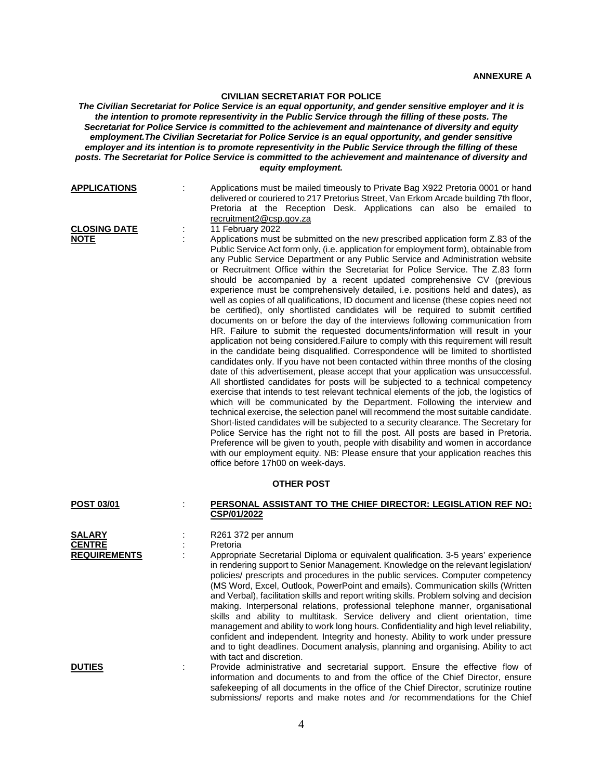## **CIVILIAN SECRETARIAT FOR POLICE**

*The Civilian Secretariat for Police Service is an equal opportunity, and gender sensitive employer and it is the intention to promote representivity in the Public Service through the filling of these posts. The Secretariat for Police Service is committed to the achievement and maintenance of diversity and equity employment.The Civilian Secretariat for Police Service is an equal opportunity, and gender sensitive employer and its intention is to promote representivity in the Public Service through the filling of these posts. The Secretariat for Police Service is committed to the achievement and maintenance of diversity and equity employment.*

| <b>APPLICATIONS</b>                                   | ÷  | Applications must be mailed timeously to Private Bag X922 Pretoria 0001 or hand<br>delivered or couriered to 217 Pretorius Street, Van Erkom Arcade building 7th floor,<br>Pretoria at the Reception Desk. Applications can also be emailed to<br>recruitment2@csp.gov.za<br>11 February 2022                                                                                                                                                                                                                                                                                                                                                                                                                                                                                                                                                                                                                                                                                                                                                                                                                                                                                                                                                                                                                                                                                                                                                                                                                                                                                                                                                                                                                                                                                                                                                                                                                                                                   |
|-------------------------------------------------------|----|-----------------------------------------------------------------------------------------------------------------------------------------------------------------------------------------------------------------------------------------------------------------------------------------------------------------------------------------------------------------------------------------------------------------------------------------------------------------------------------------------------------------------------------------------------------------------------------------------------------------------------------------------------------------------------------------------------------------------------------------------------------------------------------------------------------------------------------------------------------------------------------------------------------------------------------------------------------------------------------------------------------------------------------------------------------------------------------------------------------------------------------------------------------------------------------------------------------------------------------------------------------------------------------------------------------------------------------------------------------------------------------------------------------------------------------------------------------------------------------------------------------------------------------------------------------------------------------------------------------------------------------------------------------------------------------------------------------------------------------------------------------------------------------------------------------------------------------------------------------------------------------------------------------------------------------------------------------------|
| <b>CLOSING DATE</b><br><b>NOTE</b>                    | İ, | Applications must be submitted on the new prescribed application form Z.83 of the<br>Public Service Act form only, (i.e. application for employment form), obtainable from<br>any Public Service Department or any Public Service and Administration website<br>or Recruitment Office within the Secretariat for Police Service. The Z.83 form<br>should be accompanied by a recent updated comprehensive CV (previous<br>experience must be comprehensively detailed, i.e. positions held and dates), as<br>well as copies of all qualifications, ID document and license (these copies need not<br>be certified), only shortlisted candidates will be required to submit certified<br>documents on or before the day of the interviews following communication from<br>HR. Failure to submit the requested documents/information will result in your<br>application not being considered. Failure to comply with this requirement will result<br>in the candidate being disqualified. Correspondence will be limited to shortlisted<br>candidates only. If you have not been contacted within three months of the closing<br>date of this advertisement, please accept that your application was unsuccessful.<br>All shortlisted candidates for posts will be subjected to a technical competency<br>exercise that intends to test relevant technical elements of the job, the logistics of<br>which will be communicated by the Department. Following the interview and<br>technical exercise, the selection panel will recommend the most suitable candidate.<br>Short-listed candidates will be subjected to a security clearance. The Secretary for<br>Police Service has the right not to fill the post. All posts are based in Pretoria.<br>Preference will be given to youth, people with disability and women in accordance<br>with our employment equity. NB: Please ensure that your application reaches this<br>office before 17h00 on week-days. |
| <b>OTHER POST</b>                                     |    |                                                                                                                                                                                                                                                                                                                                                                                                                                                                                                                                                                                                                                                                                                                                                                                                                                                                                                                                                                                                                                                                                                                                                                                                                                                                                                                                                                                                                                                                                                                                                                                                                                                                                                                                                                                                                                                                                                                                                                 |
| <b>POST 03/01</b>                                     |    | <u>PERSONAL ASSISTANT TO THE CHIEF DIRECTOR: LEGISLATION REF NO:</u><br>CSP/01/2022                                                                                                                                                                                                                                                                                                                                                                                                                                                                                                                                                                                                                                                                                                                                                                                                                                                                                                                                                                                                                                                                                                                                                                                                                                                                                                                                                                                                                                                                                                                                                                                                                                                                                                                                                                                                                                                                             |
| <u>SALARY</u><br><b>CENTRE</b><br><b>REQUIREMENTS</b> |    | R261 372 per annum                                                                                                                                                                                                                                                                                                                                                                                                                                                                                                                                                                                                                                                                                                                                                                                                                                                                                                                                                                                                                                                                                                                                                                                                                                                                                                                                                                                                                                                                                                                                                                                                                                                                                                                                                                                                                                                                                                                                              |
|                                                       | t  | Pretoria<br>Appropriate Secretarial Diploma or equivalent qualification. 3-5 years' experience                                                                                                                                                                                                                                                                                                                                                                                                                                                                                                                                                                                                                                                                                                                                                                                                                                                                                                                                                                                                                                                                                                                                                                                                                                                                                                                                                                                                                                                                                                                                                                                                                                                                                                                                                                                                                                                                  |
|                                                       |    | in rendering support to Senior Management. Knowledge on the relevant legislation/<br>policies/ prescripts and procedures in the public services. Computer competency<br>(MS Word, Excel, Outlook, PowerPoint and emails). Communication skills (Written<br>and Verbal), facilitation skills and report writing skills. Problem solving and decision<br>making. Interpersonal relations, professional telephone manner, organisational<br>skills and ability to multitask. Service delivery and client orientation, time<br>management and ability to work long hours. Confidentiality and high level reliability,<br>confident and independent. Integrity and honesty. Ability to work under pressure<br>and to tight deadlines. Document analysis, planning and organising. Ability to act<br>with tact and discretion.                                                                                                                                                                                                                                                                                                                                                                                                                                                                                                                                                                                                                                                                                                                                                                                                                                                                                                                                                                                                                                                                                                                                        |
| <b>DUTIES</b>                                         |    | Provide administrative and secretarial support. Ensure the effective flow of<br>information and documents to and from the office of the Chief Director, ensure<br>safekeeping of all documents in the office of the Chief Director, scrutinize routine                                                                                                                                                                                                                                                                                                                                                                                                                                                                                                                                                                                                                                                                                                                                                                                                                                                                                                                                                                                                                                                                                                                                                                                                                                                                                                                                                                                                                                                                                                                                                                                                                                                                                                          |

submissions/ reports and make notes and /or recommendations for the Chief